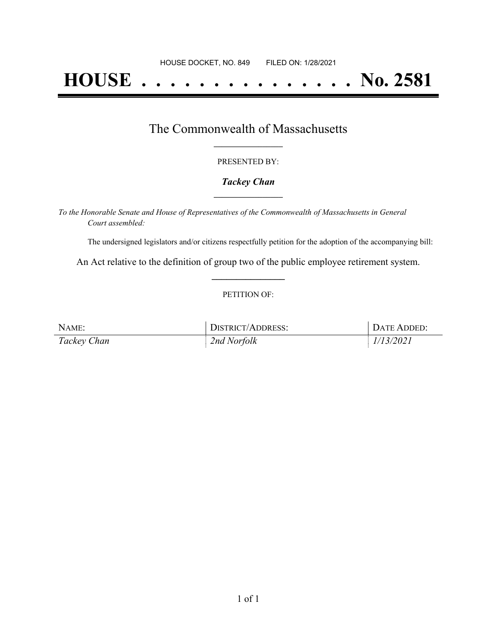# **HOUSE . . . . . . . . . . . . . . . No. 2581**

## The Commonwealth of Massachusetts **\_\_\_\_\_\_\_\_\_\_\_\_\_\_\_\_\_**

#### PRESENTED BY:

#### *Tackey Chan* **\_\_\_\_\_\_\_\_\_\_\_\_\_\_\_\_\_**

*To the Honorable Senate and House of Representatives of the Commonwealth of Massachusetts in General Court assembled:*

The undersigned legislators and/or citizens respectfully petition for the adoption of the accompanying bill:

An Act relative to the definition of group two of the public employee retirement system. **\_\_\_\_\_\_\_\_\_\_\_\_\_\_\_**

#### PETITION OF:

| NAME:       | <b>DISTRICT/ADDRESS:</b> | DATE ADDED: |
|-------------|--------------------------|-------------|
| Tackey Chan | 2nd Norfolk              | 1/13/2021   |